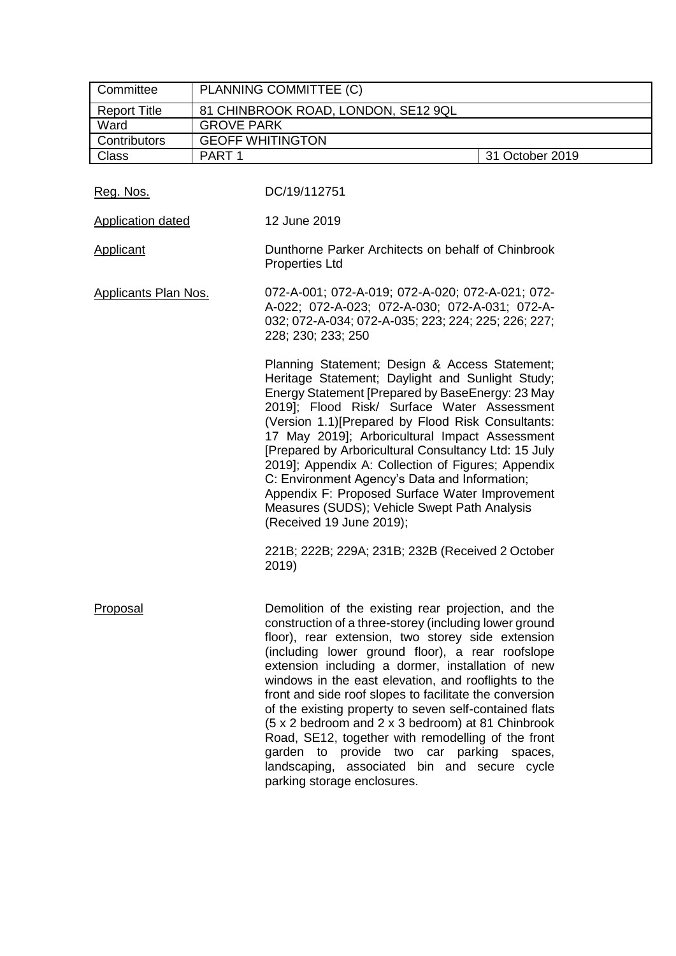| Committee                   | PLANNING COMMITTEE (C)                                                                                                                                                                                                                                                                                                                                                                                                                                                                                                                                                                                                                                                                          |  |  |  |
|-----------------------------|-------------------------------------------------------------------------------------------------------------------------------------------------------------------------------------------------------------------------------------------------------------------------------------------------------------------------------------------------------------------------------------------------------------------------------------------------------------------------------------------------------------------------------------------------------------------------------------------------------------------------------------------------------------------------------------------------|--|--|--|
| <b>Report Title</b>         | 81 CHINBROOK ROAD, LONDON, SE12 9QL                                                                                                                                                                                                                                                                                                                                                                                                                                                                                                                                                                                                                                                             |  |  |  |
| Ward                        | <b>GROVE PARK</b>                                                                                                                                                                                                                                                                                                                                                                                                                                                                                                                                                                                                                                                                               |  |  |  |
| Contributors                | <b>GEOFF WHITINGTON</b>                                                                                                                                                                                                                                                                                                                                                                                                                                                                                                                                                                                                                                                                         |  |  |  |
| Class                       | PART <sub>1</sub><br>31 October 2019                                                                                                                                                                                                                                                                                                                                                                                                                                                                                                                                                                                                                                                            |  |  |  |
| Reg. Nos.                   | DC/19/112751                                                                                                                                                                                                                                                                                                                                                                                                                                                                                                                                                                                                                                                                                    |  |  |  |
| <b>Application dated</b>    | 12 June 2019                                                                                                                                                                                                                                                                                                                                                                                                                                                                                                                                                                                                                                                                                    |  |  |  |
| <b>Applicant</b>            | Dunthorne Parker Architects on behalf of Chinbrook<br><b>Properties Ltd</b>                                                                                                                                                                                                                                                                                                                                                                                                                                                                                                                                                                                                                     |  |  |  |
| <b>Applicants Plan Nos.</b> | 072-A-001; 072-A-019; 072-A-020; 072-A-021; 072-<br>A-022; 072-A-023; 072-A-030; 072-A-031; 072-A-<br>032; 072-A-034; 072-A-035; 223; 224; 225; 226; 227;<br>228; 230; 233; 250                                                                                                                                                                                                                                                                                                                                                                                                                                                                                                                 |  |  |  |
|                             | Planning Statement; Design & Access Statement;<br>Heritage Statement; Daylight and Sunlight Study;<br>Energy Statement [Prepared by BaseEnergy: 23 May<br>2019]; Flood Risk/ Surface Water Assessment<br>(Version 1.1) [Prepared by Flood Risk Consultants:<br>17 May 2019]; Arboricultural Impact Assessment<br>[Prepared by Arboricultural Consultancy Ltd: 15 July<br>2019]; Appendix A: Collection of Figures; Appendix<br>C: Environment Agency's Data and Information;<br>Appendix F: Proposed Surface Water Improvement<br>Measures (SUDS); Vehicle Swept Path Analysis<br>(Received 19 June 2019);                                                                                      |  |  |  |
|                             | 221B; 222B; 229A; 231B; 232B (Received 2 October<br>2019)                                                                                                                                                                                                                                                                                                                                                                                                                                                                                                                                                                                                                                       |  |  |  |
| Proposal                    | Demolition of the existing rear projection, and the<br>construction of a three-storey (including lower ground<br>floor), rear extension, two storey side extension<br>(including lower ground floor), a rear roofslope<br>extension including a dormer, installation of new<br>windows in the east elevation, and rooflights to the<br>front and side roof slopes to facilitate the conversion<br>of the existing property to seven self-contained flats<br>(5 x 2 bedroom and 2 x 3 bedroom) at 81 Chinbrook<br>Road, SE12, together with remodelling of the front<br>garden to provide two car parking spaces,<br>landscaping, associated bin and secure cycle<br>parking storage enclosures. |  |  |  |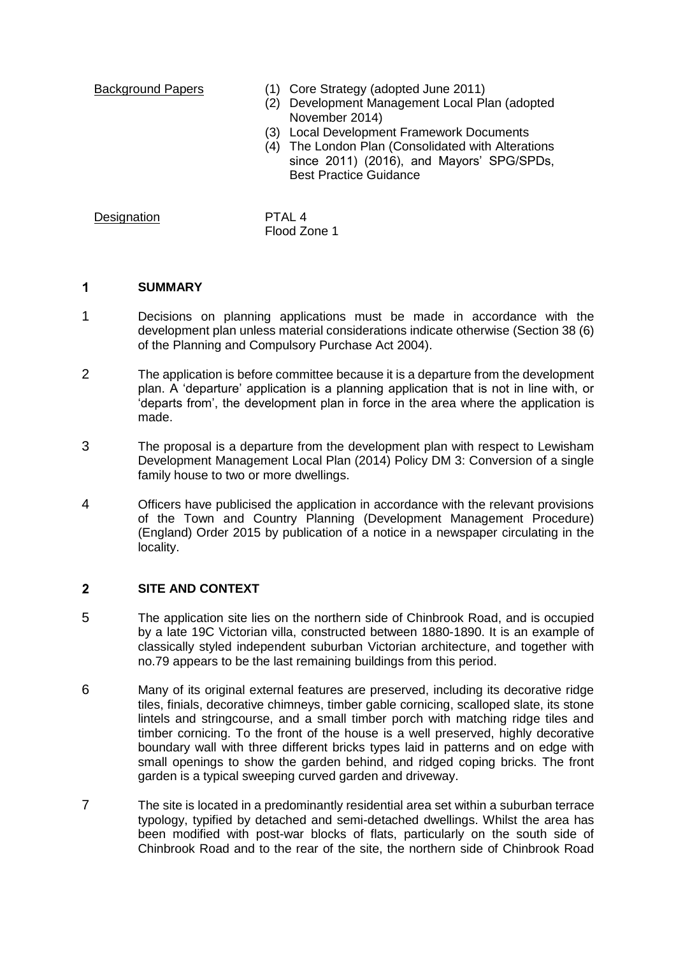- Background Papers (1) Core Strategy (adopted June 2011)
	- (2) Development Management Local Plan (adopted November 2014)
	- (3) Local Development Framework Documents
	- (4) The London Plan (Consolidated with Alterations since 2011) (2016), and Mayors' SPG/SPDs, Best Practice Guidance

# Designation PTAL 4

Flood Zone 1

#### $\overline{\mathbf{1}}$ **SUMMARY**

- 1 Decisions on planning applications must be made in accordance with the development plan unless material considerations indicate otherwise (Section 38 (6) of the Planning and Compulsory Purchase Act 2004).
- 2 The application is before committee because it is a departure from the development plan. A 'departure' application is a planning application that is not in line with, or 'departs from', the development plan in force in the area where the application is made.
- 3 The proposal is a departure from the development plan with respect to Lewisham Development Management Local Plan (2014) Policy DM 3: Conversion of a single family house to two or more dwellings.
- 4 Officers have publicised the application in accordance with the relevant provisions of the Town and Country Planning (Development Management Procedure) (England) Order 2015 by publication of a notice in a newspaper circulating in the locality.

#### $\overline{2}$ **SITE AND CONTEXT**

- 5 The application site lies on the northern side of Chinbrook Road, and is occupied by a late 19C Victorian villa, constructed between 1880-1890. It is an example of classically styled independent suburban Victorian architecture, and together with no.79 appears to be the last remaining buildings from this period.
- 6 Many of its original external features are preserved, including its decorative ridge tiles, finials, decorative chimneys, timber gable cornicing, scalloped slate, its stone lintels and stringcourse, and a small timber porch with matching ridge tiles and timber cornicing. To the front of the house is a well preserved, highly decorative boundary wall with three different bricks types laid in patterns and on edge with small openings to show the garden behind, and ridged coping bricks. The front garden is a typical sweeping curved garden and driveway.
- 7 The site is located in a predominantly residential area set within a suburban terrace typology, typified by detached and semi-detached dwellings. Whilst the area has been modified with post-war blocks of flats, particularly on the south side of Chinbrook Road and to the rear of the site, the northern side of Chinbrook Road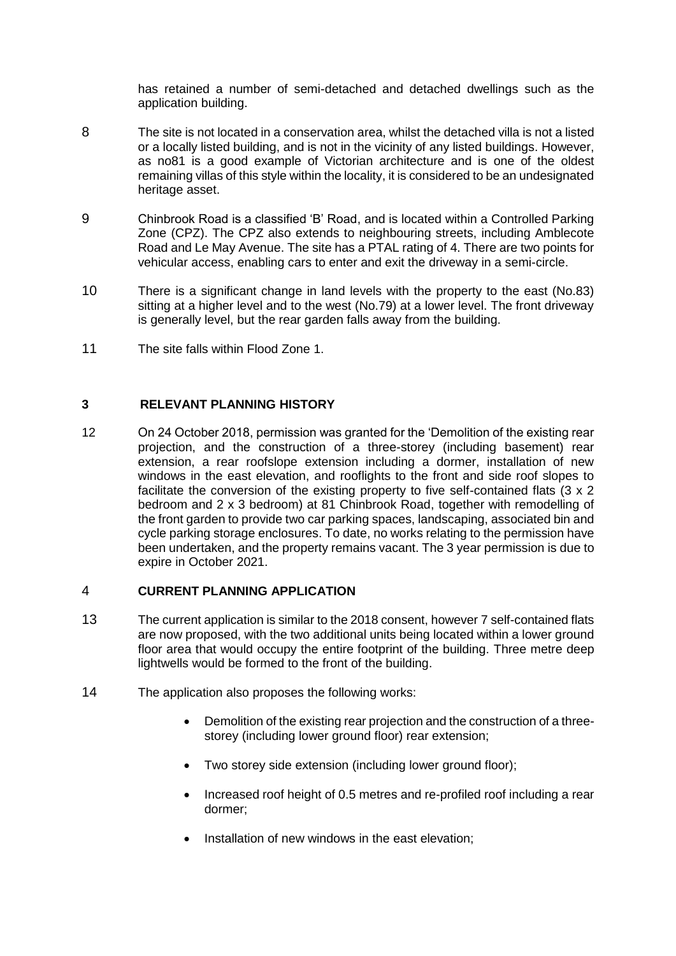has retained a number of semi-detached and detached dwellings such as the application building.

- 8 The site is not located in a conservation area, whilst the detached villa is not a listed or a locally listed building, and is not in the vicinity of any listed buildings. However, as no81 is a good example of Victorian architecture and is one of the oldest remaining villas of this style within the locality, it is considered to be an undesignated heritage asset.
- 9 Chinbrook Road is a classified 'B' Road, and is located within a Controlled Parking Zone (CPZ). The CPZ also extends to neighbouring streets, including Amblecote Road and Le May Avenue. The site has a PTAL rating of 4. There are two points for vehicular access, enabling cars to enter and exit the driveway in a semi-circle.
- 10 There is a significant change in land levels with the property to the east (No.83) sitting at a higher level and to the west (No.79) at a lower level. The front driveway is generally level, but the rear garden falls away from the building.
- 11 The site falls within Flood Zone 1.

# **3 RELEVANT PLANNING HISTORY**

12 On 24 October 2018, permission was granted for the 'Demolition of the existing rear projection, and the construction of a three-storey (including basement) rear extension, a rear roofslope extension including a dormer, installation of new windows in the east elevation, and rooflights to the front and side roof slopes to facilitate the conversion of the existing property to five self-contained flats (3 x 2 bedroom and 2 x 3 bedroom) at 81 Chinbrook Road, together with remodelling of the front garden to provide two car parking spaces, landscaping, associated bin and cycle parking storage enclosures. To date, no works relating to the permission have been undertaken, and the property remains vacant. The 3 year permission is due to expire in October 2021.

# 4 **CURRENT PLANNING APPLICATION**

- 13 The current application is similar to the 2018 consent, however 7 self-contained flats are now proposed, with the two additional units being located within a lower ground floor area that would occupy the entire footprint of the building. Three metre deep lightwells would be formed to the front of the building.
- 14 The application also proposes the following works:
	- Demolition of the existing rear projection and the construction of a threestorey (including lower ground floor) rear extension:
	- Two storey side extension (including lower ground floor);
	- Increased roof height of 0.5 metres and re-profiled roof including a rear dormer;
	- Installation of new windows in the east elevation;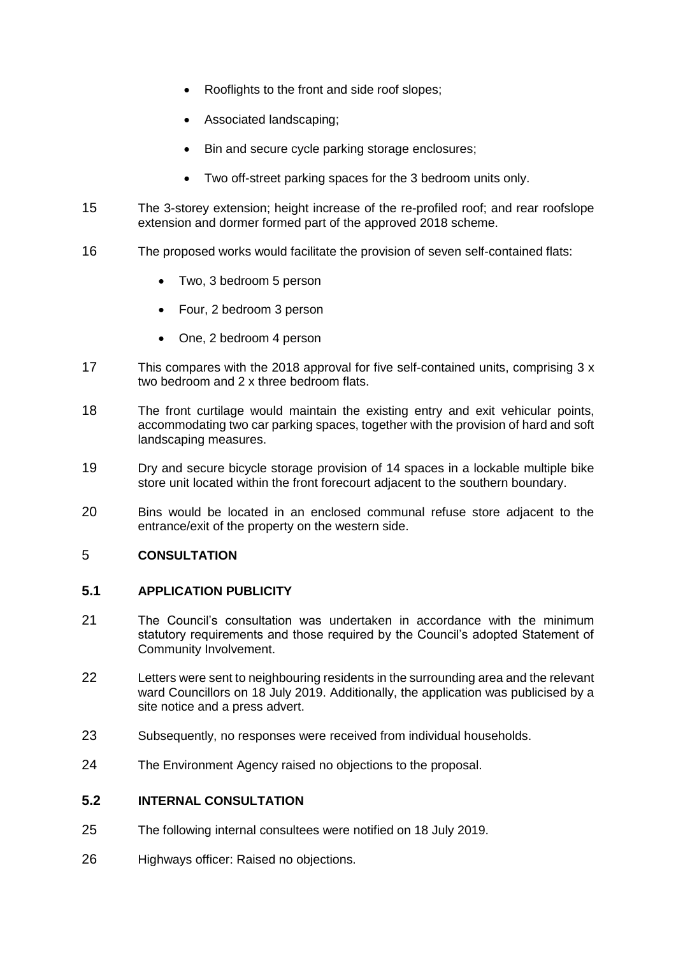- Rooflights to the front and side roof slopes;
- Associated landscaping;
- Bin and secure cycle parking storage enclosures;
- Two off-street parking spaces for the 3 bedroom units only.
- 15 The 3-storey extension; height increase of the re-profiled roof; and rear roofslope extension and dormer formed part of the approved 2018 scheme.
- 16 The proposed works would facilitate the provision of seven self-contained flats:
	- Two, 3 bedroom 5 person
	- Four, 2 bedroom 3 person
	- One, 2 bedroom 4 person
- 17 This compares with the 2018 approval for five self-contained units, comprising 3 x two bedroom and 2 x three bedroom flats.
- 18 The front curtilage would maintain the existing entry and exit vehicular points, accommodating two car parking spaces, together with the provision of hard and soft landscaping measures.
- 19 Dry and secure bicycle storage provision of 14 spaces in a lockable multiple bike store unit located within the front forecourt adjacent to the southern boundary.
- 20 Bins would be located in an enclosed communal refuse store adjacent to the entrance/exit of the property on the western side.

# 5 **CONSULTATION**

# **5.1 APPLICATION PUBLICITY**

- 21 The Council's consultation was undertaken in accordance with the minimum statutory requirements and those required by the Council's adopted Statement of Community Involvement.
- 22 Letters were sent to neighbouring residents in the surrounding area and the relevant ward Councillors on 18 July 2019. Additionally, the application was publicised by a site notice and a press advert.
- 23 Subsequently, no responses were received from individual households.
- 24 The Environment Agency raised no objections to the proposal.

# **5.2 INTERNAL CONSULTATION**

- 25 The following internal consultees were notified on 18 July 2019.
- 26 Highways officer: Raised no objections.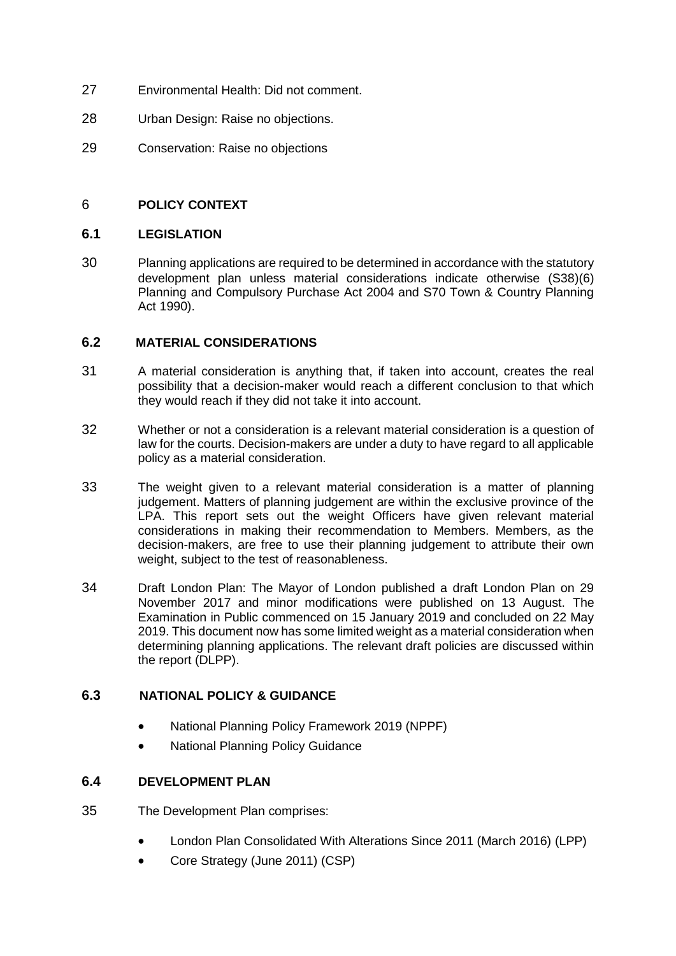- 27 Environmental Health: Did not comment.
- 28 Urban Design: Raise no objections.
- 29 Conservation: Raise no objections

# 6 **POLICY CONTEXT**

## **6.1 LEGISLATION**

30Planning applications are required to be determined in accordance with the statutory development plan unless material considerations indicate otherwise (S38)(6) Planning and Compulsory Purchase Act 2004 and S70 Town & Country Planning Act 1990).

# **6.2 MATERIAL CONSIDERATIONS**

- 31 A material consideration is anything that, if taken into account, creates the real possibility that a decision-maker would reach a different conclusion to that which they would reach if they did not take it into account.
- 32 Whether or not a consideration is a relevant material consideration is a question of law for the courts. Decision-makers are under a duty to have regard to all applicable policy as a material consideration.
- 33 The weight given to a relevant material consideration is a matter of planning judgement. Matters of planning judgement are within the exclusive province of the LPA. This report sets out the weight Officers have given relevant material considerations in making their recommendation to Members. Members, as the decision-makers, are free to use their planning judgement to attribute their own weight, subject to the test of reasonableness.
- 34 Draft London Plan: The Mayor of London published a draft London Plan on 29 November 2017 and minor modifications were published on 13 August. The Examination in Public commenced on 15 January 2019 and concluded on 22 May 2019. This document now has some limited weight as a material consideration when determining planning applications. The relevant draft policies are discussed within the report (DLPP).

# **6.3 NATIONAL POLICY & GUIDANCE**

- National Planning Policy Framework 2019 (NPPF)
- National Planning Policy Guidance

# **6.4 DEVELOPMENT PLAN**

- 35 The Development Plan comprises:
	- London Plan Consolidated With Alterations Since 2011 (March 2016) (LPP)
	- Core Strategy (June 2011) (CSP)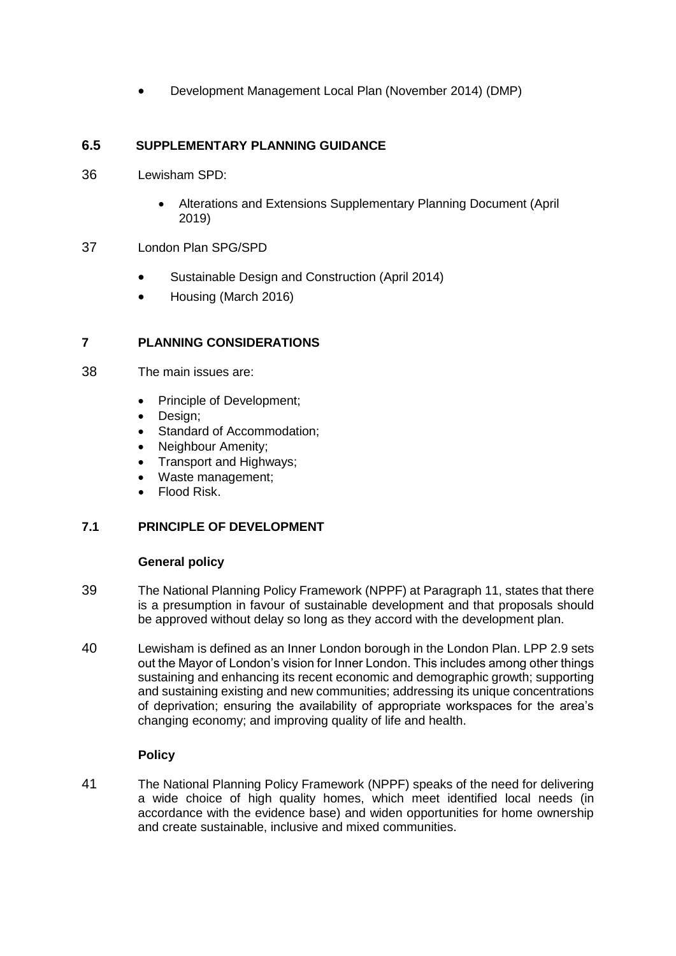Development Management Local Plan (November 2014) (DMP)

# **6.5 SUPPLEMENTARY PLANNING GUIDANCE**

- 36 Lewisham SPD:
	- Alterations and Extensions Supplementary Planning Document (April 2019)

# 37 London Plan SPG/SPD

- Sustainable Design and Construction (April 2014)
- Housing (March 2016)

# **7 PLANNING CONSIDERATIONS**

- 38 The main issues are:
	- Principle of Development;
	- Design;
	- Standard of Accommodation;
	- Neighbour Amenity;
	- Transport and Highways:
	- Waste management;
	- Flood Risk.

# **7.1 PRINCIPLE OF DEVELOPMENT**

# **General policy**

- 39 The National Planning Policy Framework (NPPF) at Paragraph 11, states that there is a presumption in favour of sustainable development and that proposals should be approved without delay so long as they accord with the development plan.
- 40 Lewisham is defined as an Inner London borough in the London Plan. LPP 2.9 sets out the Mayor of London's vision for Inner London. This includes among other things sustaining and enhancing its recent economic and demographic growth; supporting and sustaining existing and new communities; addressing its unique concentrations of deprivation; ensuring the availability of appropriate workspaces for the area's changing economy; and improving quality of life and health.

# **Policy**

41 The National Planning Policy Framework (NPPF) speaks of the need for delivering a wide choice of high quality homes, which meet identified local needs (in accordance with the evidence base) and widen opportunities for home ownership and create sustainable, inclusive and mixed communities.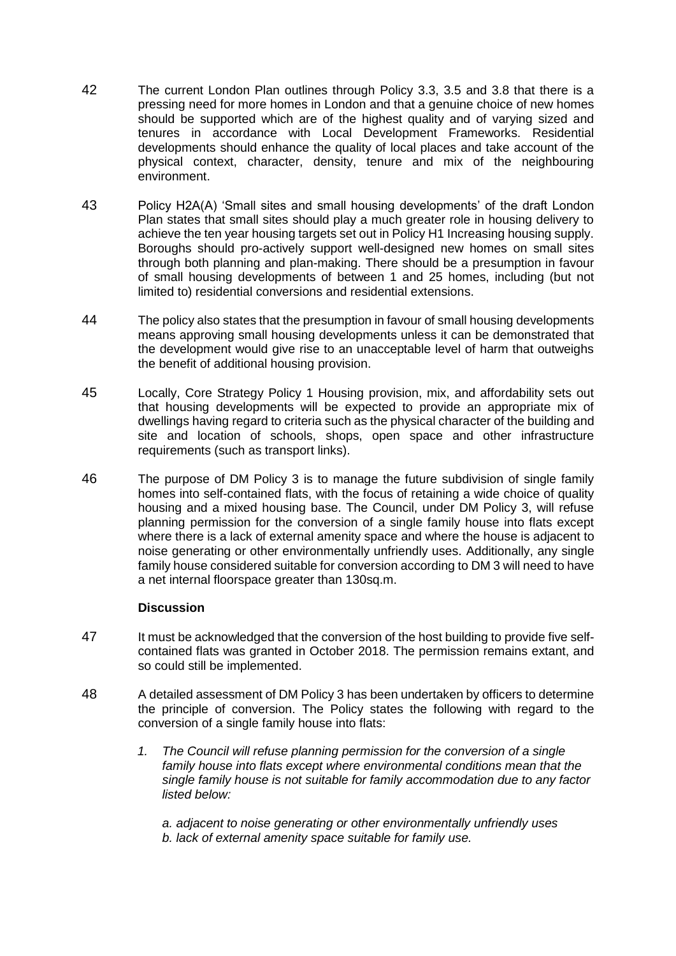- 42 The current London Plan outlines through Policy 3.3, 3.5 and 3.8 that there is a pressing need for more homes in London and that a genuine choice of new homes should be supported which are of the highest quality and of varying sized and tenures in accordance with Local Development Frameworks. Residential developments should enhance the quality of local places and take account of the physical context, character, density, tenure and mix of the neighbouring environment.
- 43 Policy H2A(A) 'Small sites and small housing developments' of the draft London Plan states that small sites should play a much greater role in housing delivery to achieve the ten year housing targets set out in Policy H1 Increasing housing supply. Boroughs should pro-actively support well-designed new homes on small sites through both planning and plan-making. There should be a presumption in favour of small housing developments of between 1 and 25 homes, including (but not limited to) residential conversions and residential extensions.
- 44 The policy also states that the presumption in favour of small housing developments means approving small housing developments unless it can be demonstrated that the development would give rise to an unacceptable level of harm that outweighs the benefit of additional housing provision.
- 45 Locally, Core Strategy Policy 1 Housing provision, mix, and affordability sets out that housing developments will be expected to provide an appropriate mix of dwellings having regard to criteria such as the physical character of the building and site and location of schools, shops, open space and other infrastructure requirements (such as transport links).
- 46 The purpose of DM Policy 3 is to manage the future subdivision of single family homes into self-contained flats, with the focus of retaining a wide choice of quality housing and a mixed housing base. The Council, under DM Policy 3, will refuse planning permission for the conversion of a single family house into flats except where there is a lack of external amenity space and where the house is adjacent to noise generating or other environmentally unfriendly uses. Additionally, any single family house considered suitable for conversion according to DM 3 will need to have a net internal floorspace greater than 130sq.m.

# **Discussion**

- 47 It must be acknowledged that the conversion of the host building to provide five selfcontained flats was granted in October 2018. The permission remains extant, and so could still be implemented.
- 48 A detailed assessment of DM Policy 3 has been undertaken by officers to determine the principle of conversion. The Policy states the following with regard to the conversion of a single family house into flats:
	- *1. The Council will refuse planning permission for the conversion of a single family house into flats except where environmental conditions mean that the single family house is not suitable for family accommodation due to any factor listed below:*

*a. adjacent to noise generating or other environmentally unfriendly uses b. lack of external amenity space suitable for family use.*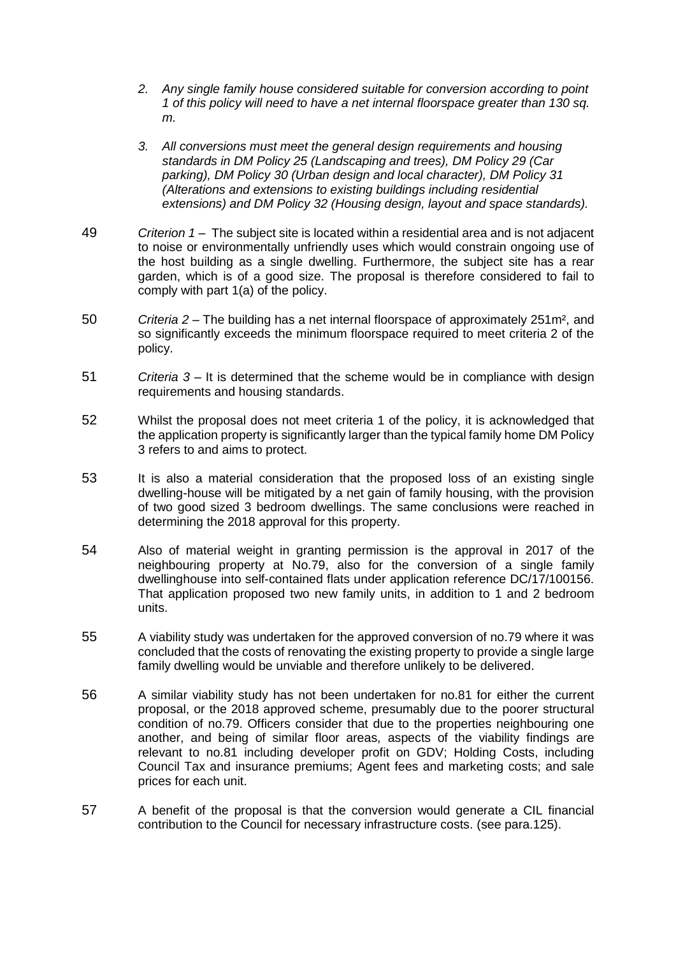- *2. Any single family house considered suitable for conversion according to point 1 of this policy will need to have a net internal floorspace greater than 130 sq. m.*
- *3. All conversions must meet the general design requirements and housing standards in DM Policy 25 (Landscaping and trees), DM Policy 29 (Car parking), DM Policy 30 (Urban design and local character), DM Policy 31 (Alterations and extensions to existing buildings including residential extensions) and DM Policy 32 (Housing design, layout and space standards).*
- 49 *Criterion 1* The subject site is located within a residential area and is not adjacent to noise or environmentally unfriendly uses which would constrain ongoing use of the host building as a single dwelling. Furthermore, the subject site has a rear garden, which is of a good size. The proposal is therefore considered to fail to comply with part 1(a) of the policy.
- 50 *Criteria 2 –* The building has a net internal floorspace of approximately 251m², and so significantly exceeds the minimum floorspace required to meet criteria 2 of the policy.
- 51 *Criteria 3* It is determined that the scheme would be in compliance with design requirements and housing standards.
- 52 Whilst the proposal does not meet criteria 1 of the policy, it is acknowledged that the application property is significantly larger than the typical family home DM Policy 3 refers to and aims to protect.
- 53 It is also a material consideration that the proposed loss of an existing single dwelling-house will be mitigated by a net gain of family housing, with the provision of two good sized 3 bedroom dwellings. The same conclusions were reached in determining the 2018 approval for this property.
- 54 Also of material weight in granting permission is the approval in 2017 of the neighbouring property at No.79, also for the conversion of a single family dwellinghouse into self-contained flats under application reference DC/17/100156. That application proposed two new family units, in addition to 1 and 2 bedroom units.
- 55 A viability study was undertaken for the approved conversion of no.79 where it was concluded that the costs of renovating the existing property to provide a single large family dwelling would be unviable and therefore unlikely to be delivered.
- 56 A similar viability study has not been undertaken for no.81 for either the current proposal, or the 2018 approved scheme, presumably due to the poorer structural condition of no.79. Officers consider that due to the properties neighbouring one another, and being of similar floor areas, aspects of the viability findings are relevant to no.81 including developer profit on GDV; Holding Costs, including Council Tax and insurance premiums; Agent fees and marketing costs; and sale prices for each unit.
- 57 A benefit of the proposal is that the conversion would generate a CIL financial contribution to the Council for necessary infrastructure costs. (see para.125).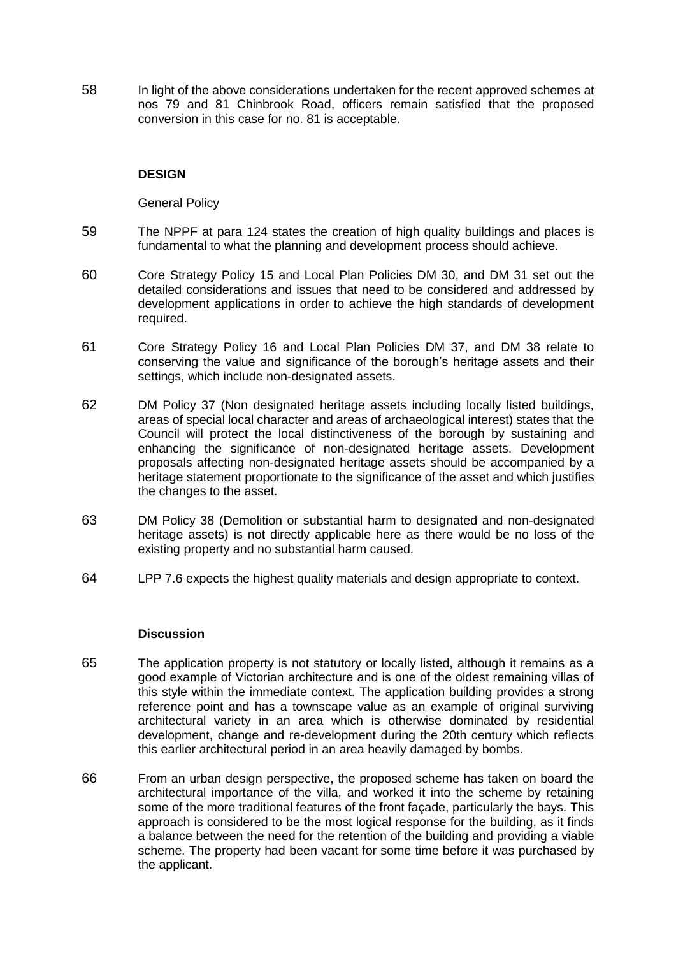58 In light of the above considerations undertaken for the recent approved schemes at nos 79 and 81 Chinbrook Road, officers remain satisfied that the proposed conversion in this case for no. 81 is acceptable.

### **DESIGN**

General Policy

- 59 The NPPF at para 124 states the creation of high quality buildings and places is fundamental to what the planning and development process should achieve.
- 60 Core Strategy Policy 15 and Local Plan Policies DM 30, and DM 31 set out the detailed considerations and issues that need to be considered and addressed by development applications in order to achieve the high standards of development required.
- 61 Core Strategy Policy 16 and Local Plan Policies DM 37, and DM 38 relate to conserving the value and significance of the borough's heritage assets and their settings, which include non-designated assets.
- 62 DM Policy 37 (Non designated heritage assets including locally listed buildings, areas of special local character and areas of archaeological interest) states that the Council will protect the local distinctiveness of the borough by sustaining and enhancing the significance of non-designated heritage assets. Development proposals affecting non-designated heritage assets should be accompanied by a heritage statement proportionate to the significance of the asset and which justifies the changes to the asset.
- 63 DM Policy 38 (Demolition or substantial harm to designated and non-designated heritage assets) is not directly applicable here as there would be no loss of the existing property and no substantial harm caused.
- 64 LPP 7.6 expects the highest quality materials and design appropriate to context.

#### **Discussion**

- 65 The application property is not statutory or locally listed, although it remains as a good example of Victorian architecture and is one of the oldest remaining villas of this style within the immediate context. The application building provides a strong reference point and has a townscape value as an example of original surviving architectural variety in an area which is otherwise dominated by residential development, change and re-development during the 20th century which reflects this earlier architectural period in an area heavily damaged by bombs.
- 66 From an urban design perspective, the proposed scheme has taken on board the architectural importance of the villa, and worked it into the scheme by retaining some of the more traditional features of the front façade, particularly the bays. This approach is considered to be the most logical response for the building, as it finds a balance between the need for the retention of the building and providing a viable scheme. The property had been vacant for some time before it was purchased by the applicant.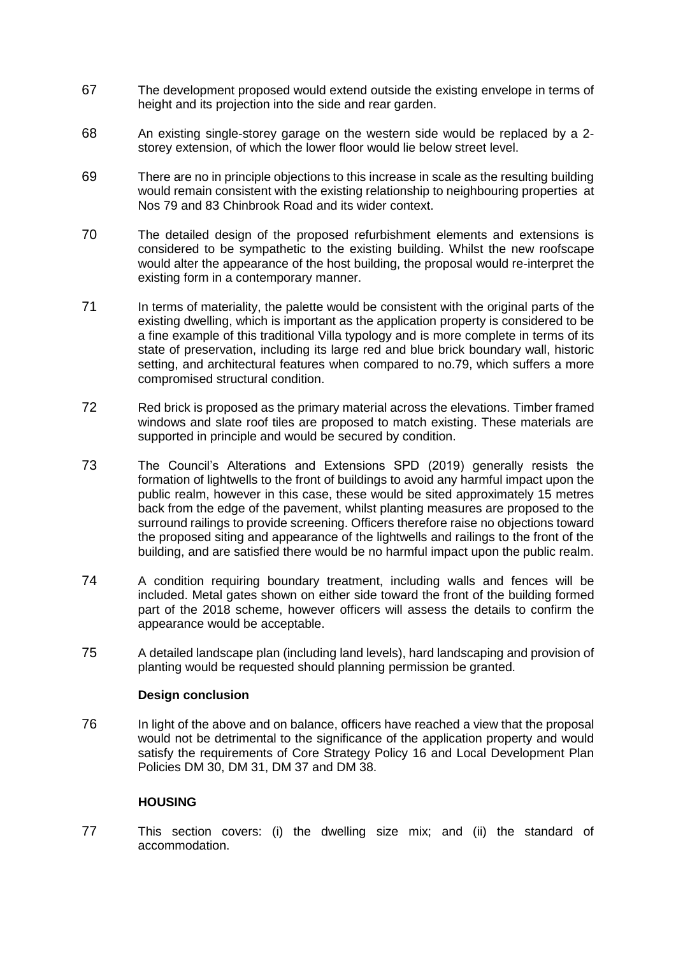- 67 The development proposed would extend outside the existing envelope in terms of height and its projection into the side and rear garden.
- 68 An existing single-storey garage on the western side would be replaced by a 2 storey extension, of which the lower floor would lie below street level.
- 69 There are no in principle objections to this increase in scale as the resulting building would remain consistent with the existing relationship to neighbouring properties at Nos 79 and 83 Chinbrook Road and its wider context.
- 70 The detailed design of the proposed refurbishment elements and extensions is considered to be sympathetic to the existing building. Whilst the new roofscape would alter the appearance of the host building, the proposal would re-interpret the existing form in a contemporary manner.
- 71 In terms of materiality, the palette would be consistent with the original parts of the existing dwelling, which is important as the application property is considered to be a fine example of this traditional Villa typology and is more complete in terms of its state of preservation, including its large red and blue brick boundary wall, historic setting, and architectural features when compared to no.79, which suffers a more compromised structural condition.
- 72 Red brick is proposed as the primary material across the elevations. Timber framed windows and slate roof tiles are proposed to match existing. These materials are supported in principle and would be secured by condition.
- 73 The Council's Alterations and Extensions SPD (2019) generally resists the formation of lightwells to the front of buildings to avoid any harmful impact upon the public realm, however in this case, these would be sited approximately 15 metres back from the edge of the pavement, whilst planting measures are proposed to the surround railings to provide screening. Officers therefore raise no objections toward the proposed siting and appearance of the lightwells and railings to the front of the building, and are satisfied there would be no harmful impact upon the public realm.
- 74 A condition requiring boundary treatment, including walls and fences will be included. Metal gates shown on either side toward the front of the building formed part of the 2018 scheme, however officers will assess the details to confirm the appearance would be acceptable.
- 75 A detailed landscape plan (including land levels), hard landscaping and provision of planting would be requested should planning permission be granted.

# **Design conclusion**

76 In light of the above and on balance, officers have reached a view that the proposal would not be detrimental to the significance of the application property and would satisfy the requirements of Core Strategy Policy 16 and Local Development Plan Policies DM 30, DM 31, DM 37 and DM 38.

# **HOUSING**

77 This section covers: (i) the dwelling size mix; and (ii) the standard of accommodation.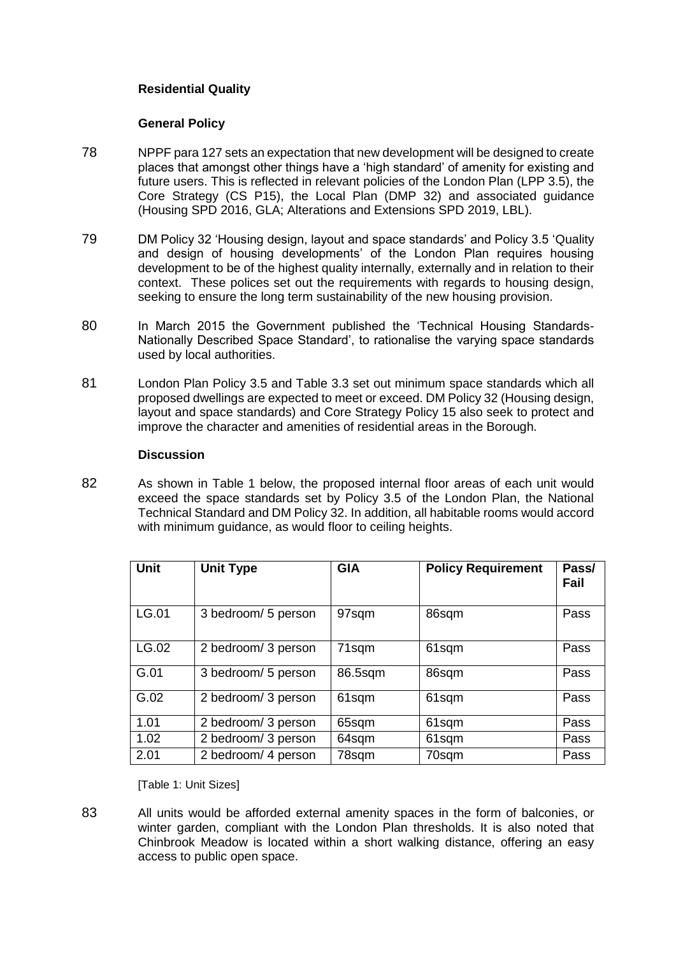# **Residential Quality**

## **General Policy**

- 78 NPPF para 127 sets an expectation that new development will be designed to create places that amongst other things have a 'high standard' of amenity for existing and future users. This is reflected in relevant policies of the London Plan (LPP 3.5), the Core Strategy (CS P15), the Local Plan (DMP 32) and associated guidance (Housing SPD 2016, GLA; Alterations and Extensions SPD 2019, LBL).
- 79 DM Policy 32 'Housing design, layout and space standards' and Policy 3.5 'Quality and design of housing developments' of the London Plan requires housing development to be of the highest quality internally, externally and in relation to their context. These polices set out the requirements with regards to housing design, seeking to ensure the long term sustainability of the new housing provision.
- 80 In March 2015 the Government published the 'Technical Housing Standards-Nationally Described Space Standard', to rationalise the varying space standards used by local authorities.
- 81 London Plan Policy 3.5 and Table 3.3 set out minimum space standards which all proposed dwellings are expected to meet or exceed. DM Policy 32 (Housing design, layout and space standards) and Core Strategy Policy 15 also seek to protect and improve the character and amenities of residential areas in the Borough.

#### **Discussion**

82 As shown in Table 1 below, the proposed internal floor areas of each unit would exceed the space standards set by Policy 3.5 of the London Plan, the National Technical Standard and DM Policy 32. In addition, all habitable rooms would accord with minimum guidance, as would floor to ceiling heights.

| <b>Unit</b> | <b>Unit Type</b>    | <b>GIA</b> | <b>Policy Requirement</b> | Pass/<br>Fail |
|-------------|---------------------|------------|---------------------------|---------------|
| LG.01       | 3 bedroom/ 5 person | 97sqm      | 86sqm                     | Pass          |
| LG.02       | 2 bedroom/ 3 person | 71sqm      | 61sqm                     | Pass          |
| G.01        | 3 bedroom/ 5 person | 86.5sqm    | 86sqm                     | Pass          |
| G.02        | 2 bedroom/ 3 person | 61sqm      | 61sqm                     | Pass          |
| 1.01        | 2 bedroom/ 3 person | 65sqm      | 61sqm                     | Pass          |
| 1.02        | 2 bedroom/ 3 person | 64sqm      | 61sqm                     | Pass          |
| 2.01        | 2 bedroom/ 4 person | 78sqm      | 70sqm                     | Pass          |

[Table 1: Unit Sizes]

83 All units would be afforded external amenity spaces in the form of balconies, or winter garden, compliant with the London Plan thresholds. It is also noted that Chinbrook Meadow is located within a short walking distance, offering an easy access to public open space.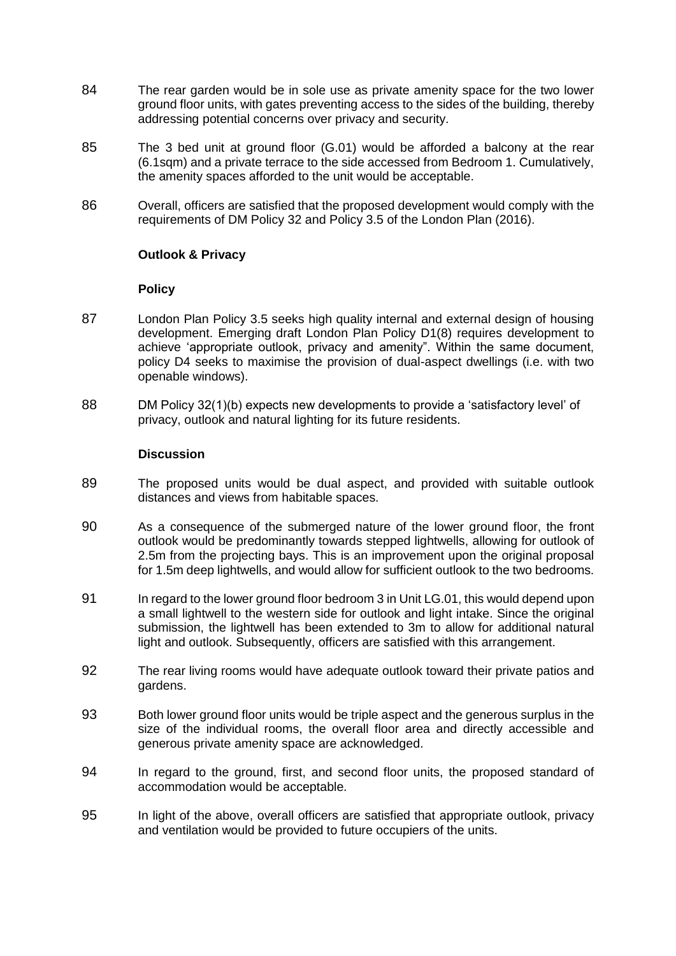- 84 The rear garden would be in sole use as private amenity space for the two lower ground floor units, with gates preventing access to the sides of the building, thereby addressing potential concerns over privacy and security.
- 85 The 3 bed unit at ground floor (G.01) would be afforded a balcony at the rear (6.1sqm) and a private terrace to the side accessed from Bedroom 1. Cumulatively, the amenity spaces afforded to the unit would be acceptable.
- 86 Overall, officers are satisfied that the proposed development would comply with the requirements of DM Policy 32 and Policy 3.5 of the London Plan (2016).

### **Outlook & Privacy**

#### **Policy**

- 87 London Plan Policy 3.5 seeks high quality internal and external design of housing development. Emerging draft London Plan Policy D1(8) requires development to achieve 'appropriate outlook, privacy and amenity". Within the same document, policy D4 seeks to maximise the provision of dual-aspect dwellings (i.e. with two openable windows).
- 88 DM Policy 32(1)(b) expects new developments to provide a 'satisfactory level' of privacy, outlook and natural lighting for its future residents.

### **Discussion**

- 89 The proposed units would be dual aspect, and provided with suitable outlook distances and views from habitable spaces.
- 90 As a consequence of the submerged nature of the lower ground floor, the front outlook would be predominantly towards stepped lightwells, allowing for outlook of 2.5m from the projecting bays. This is an improvement upon the original proposal for 1.5m deep lightwells, and would allow for sufficient outlook to the two bedrooms.
- 91 In regard to the lower ground floor bedroom 3 in Unit LG.01, this would depend upon a small lightwell to the western side for outlook and light intake. Since the original submission, the lightwell has been extended to 3m to allow for additional natural light and outlook. Subsequently, officers are satisfied with this arrangement.
- 92 The rear living rooms would have adequate outlook toward their private patios and gardens.
- 93 Both lower ground floor units would be triple aspect and the generous surplus in the size of the individual rooms, the overall floor area and directly accessible and generous private amenity space are acknowledged.
- 94 In regard to the ground, first, and second floor units, the proposed standard of accommodation would be acceptable.
- 95 In light of the above, overall officers are satisfied that appropriate outlook, privacy and ventilation would be provided to future occupiers of the units.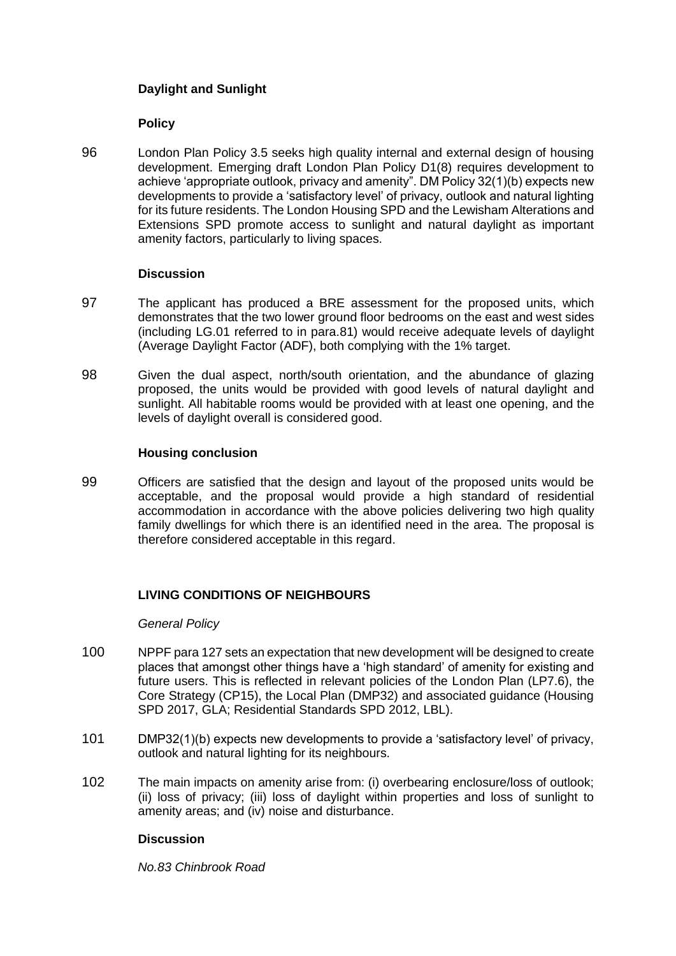# **Daylight and Sunlight**

# **Policy**

96 London Plan Policy 3.5 seeks high quality internal and external design of housing development. Emerging draft London Plan Policy D1(8) requires development to achieve 'appropriate outlook, privacy and amenity". DM Policy 32(1)(b) expects new developments to provide a 'satisfactory level' of privacy, outlook and natural lighting for its future residents. The London Housing SPD and the Lewisham Alterations and Extensions SPD promote access to sunlight and natural daylight as important amenity factors, particularly to living spaces.

# **Discussion**

- 97 The applicant has produced a BRE assessment for the proposed units, which demonstrates that the two lower ground floor bedrooms on the east and west sides (including LG.01 referred to in para.81) would receive adequate levels of daylight (Average Daylight Factor (ADF), both complying with the 1% target.
- 98 Given the dual aspect, north/south orientation, and the abundance of glazing proposed, the units would be provided with good levels of natural daylight and sunlight. All habitable rooms would be provided with at least one opening, and the levels of daylight overall is considered good.

# **Housing conclusion**

99 Officers are satisfied that the design and layout of the proposed units would be acceptable, and the proposal would provide a high standard of residential accommodation in accordance with the above policies delivering two high quality family dwellings for which there is an identified need in the area. The proposal is therefore considered acceptable in this regard.

# **LIVING CONDITIONS OF NEIGHBOURS**

# *General Policy*

- 100 NPPF para 127 sets an expectation that new development will be designed to create places that amongst other things have a 'high standard' of amenity for existing and future users. This is reflected in relevant policies of the London Plan (LP7.6), the Core Strategy (CP15), the Local Plan (DMP32) and associated guidance (Housing SPD 2017, GLA; Residential Standards SPD 2012, LBL).
- 101 DMP32(1)(b) expects new developments to provide a 'satisfactory level' of privacy, outlook and natural lighting for its neighbours.
- 102 The main impacts on amenity arise from: (i) overbearing enclosure/loss of outlook; (ii) loss of privacy; (iii) loss of daylight within properties and loss of sunlight to amenity areas; and (iv) noise and disturbance.

# **Discussion**

*No.83 Chinbrook Road*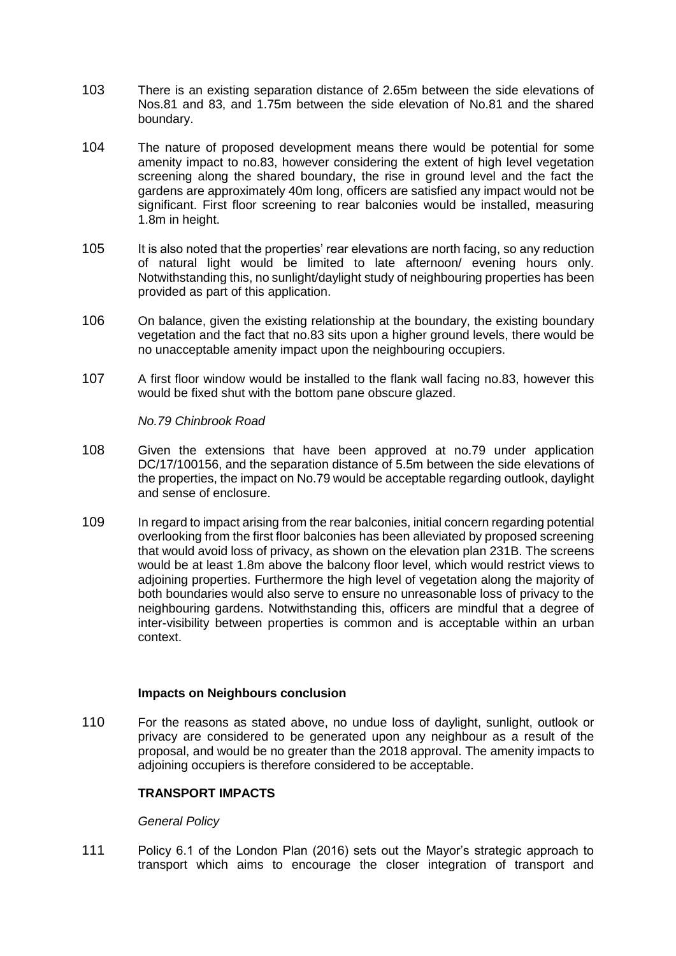- 103 There is an existing separation distance of 2.65m between the side elevations of Nos.81 and 83, and 1.75m between the side elevation of No.81 and the shared boundary.
- 104 The nature of proposed development means there would be potential for some amenity impact to no.83, however considering the extent of high level vegetation screening along the shared boundary, the rise in ground level and the fact the gardens are approximately 40m long, officers are satisfied any impact would not be significant. First floor screening to rear balconies would be installed, measuring 1.8m in height.
- 105 It is also noted that the properties' rear elevations are north facing, so any reduction of natural light would be limited to late afternoon/ evening hours only. Notwithstanding this, no sunlight/daylight study of neighbouring properties has been provided as part of this application.
- 106 On balance, given the existing relationship at the boundary, the existing boundary vegetation and the fact that no.83 sits upon a higher ground levels, there would be no unacceptable amenity impact upon the neighbouring occupiers.
- 107 A first floor window would be installed to the flank wall facing no.83, however this would be fixed shut with the bottom pane obscure glazed.

*No.79 Chinbrook Road*

- 108 Given the extensions that have been approved at no.79 under application DC/17/100156, and the separation distance of 5.5m between the side elevations of the properties, the impact on No.79 would be acceptable regarding outlook, daylight and sense of enclosure.
- 109 In regard to impact arising from the rear balconies, initial concern regarding potential overlooking from the first floor balconies has been alleviated by proposed screening that would avoid loss of privacy, as shown on the elevation plan 231B. The screens would be at least 1.8m above the balcony floor level, which would restrict views to adjoining properties. Furthermore the high level of vegetation along the majority of both boundaries would also serve to ensure no unreasonable loss of privacy to the neighbouring gardens. Notwithstanding this, officers are mindful that a degree of inter-visibility between properties is common and is acceptable within an urban context.

#### **Impacts on Neighbours conclusion**

110 For the reasons as stated above, no undue loss of daylight, sunlight, outlook or privacy are considered to be generated upon any neighbour as a result of the proposal, and would be no greater than the 2018 approval. The amenity impacts to adjoining occupiers is therefore considered to be acceptable.

# **TRANSPORT IMPACTS**

# *General Policy*

111 Policy 6.1 of the London Plan (2016) sets out the Mayor's strategic approach to transport which aims to encourage the closer integration of transport and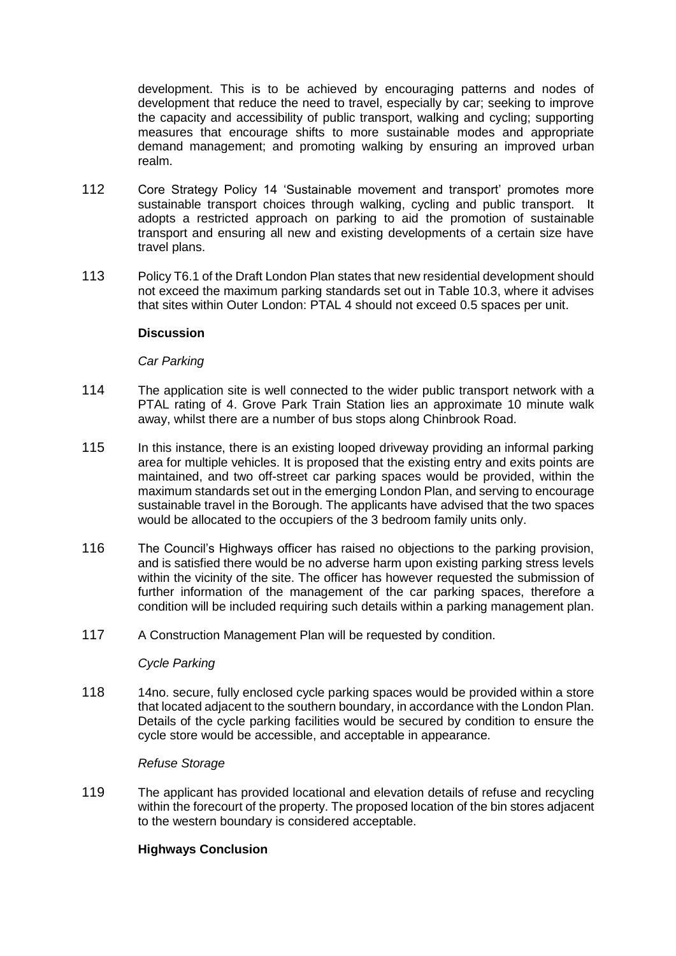development. This is to be achieved by encouraging patterns and nodes of development that reduce the need to travel, especially by car; seeking to improve the capacity and accessibility of public transport, walking and cycling; supporting measures that encourage shifts to more sustainable modes and appropriate demand management; and promoting walking by ensuring an improved urban realm.

- 112 Core Strategy Policy 14 'Sustainable movement and transport' promotes more sustainable transport choices through walking, cycling and public transport. It adopts a restricted approach on parking to aid the promotion of sustainable transport and ensuring all new and existing developments of a certain size have travel plans.
- 113 Policy T6.1 of the Draft London Plan states that new residential development should not exceed the maximum parking standards set out in Table 10.3, where it advises that sites within Outer London: PTAL 4 should not exceed 0.5 spaces per unit.

# **Discussion**

### *Car Parking*

- 114 The application site is well connected to the wider public transport network with a PTAL rating of 4. Grove Park Train Station lies an approximate 10 minute walk away, whilst there are a number of bus stops along Chinbrook Road.
- 115 In this instance, there is an existing looped driveway providing an informal parking area for multiple vehicles. It is proposed that the existing entry and exits points are maintained, and two off-street car parking spaces would be provided, within the maximum standards set out in the emerging London Plan, and serving to encourage sustainable travel in the Borough. The applicants have advised that the two spaces would be allocated to the occupiers of the 3 bedroom family units only.
- 116 The Council's Highways officer has raised no objections to the parking provision, and is satisfied there would be no adverse harm upon existing parking stress levels within the vicinity of the site. The officer has however requested the submission of further information of the management of the car parking spaces, therefore a condition will be included requiring such details within a parking management plan.
- 117 A Construction Management Plan will be requested by condition.

#### *Cycle Parking*

118 14no. secure, fully enclosed cycle parking spaces would be provided within a store that located adjacent to the southern boundary, in accordance with the London Plan. Details of the cycle parking facilities would be secured by condition to ensure the cycle store would be accessible, and acceptable in appearance.

#### *Refuse Storage*

119 The applicant has provided locational and elevation details of refuse and recycling within the forecourt of the property. The proposed location of the bin stores adjacent to the western boundary is considered acceptable.

# **Highways Conclusion**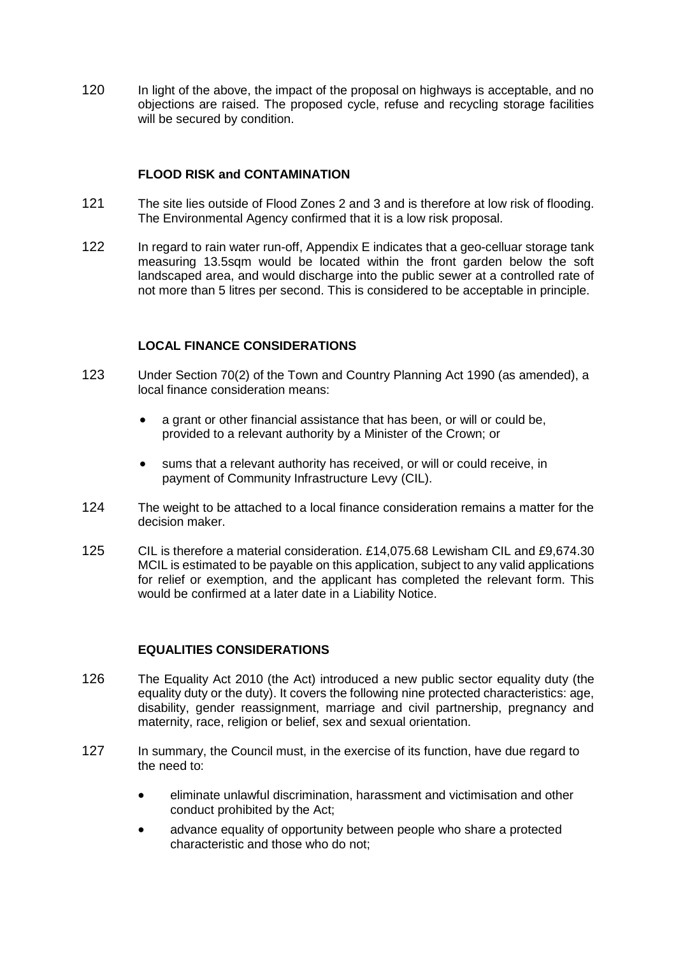120 In light of the above, the impact of the proposal on highways is acceptable, and no objections are raised. The proposed cycle, refuse and recycling storage facilities will be secured by condition.

# **FLOOD RISK and CONTAMINATION**

- 121 The site lies outside of Flood Zones 2 and 3 and is therefore at low risk of flooding. The Environmental Agency confirmed that it is a low risk proposal.
- 122 In regard to rain water run-off, Appendix E indicates that a geo-celluar storage tank measuring 13.5sqm would be located within the front garden below the soft landscaped area, and would discharge into the public sewer at a controlled rate of not more than 5 litres per second. This is considered to be acceptable in principle.

# **LOCAL FINANCE CONSIDERATIONS**

- 123 Under Section 70(2) of the Town and Country Planning Act 1990 (as amended), a local finance consideration means:
	- a grant or other financial assistance that has been, or will or could be, provided to a relevant authority by a Minister of the Crown; or
	- sums that a relevant authority has received, or will or could receive, in payment of Community Infrastructure Levy (CIL).
- 124 The weight to be attached to a local finance consideration remains a matter for the decision maker.
- 125 CIL is therefore a material consideration. £14,075.68 Lewisham CIL and £9,674.30 MCIL is estimated to be payable on this application, subject to any valid applications for relief or exemption, and the applicant has completed the relevant form. This would be confirmed at a later date in a Liability Notice.

# **EQUALITIES CONSIDERATIONS**

- 126 The Equality Act 2010 (the Act) introduced a new public sector equality duty (the equality duty or the duty). It covers the following nine protected characteristics: age, disability, gender reassignment, marriage and civil partnership, pregnancy and maternity, race, religion or belief, sex and sexual orientation.
- 127 In summary, the Council must, in the exercise of its function, have due regard to the need to:
	- eliminate unlawful discrimination, harassment and victimisation and other conduct prohibited by the Act;
	- advance equality of opportunity between people who share a protected characteristic and those who do not;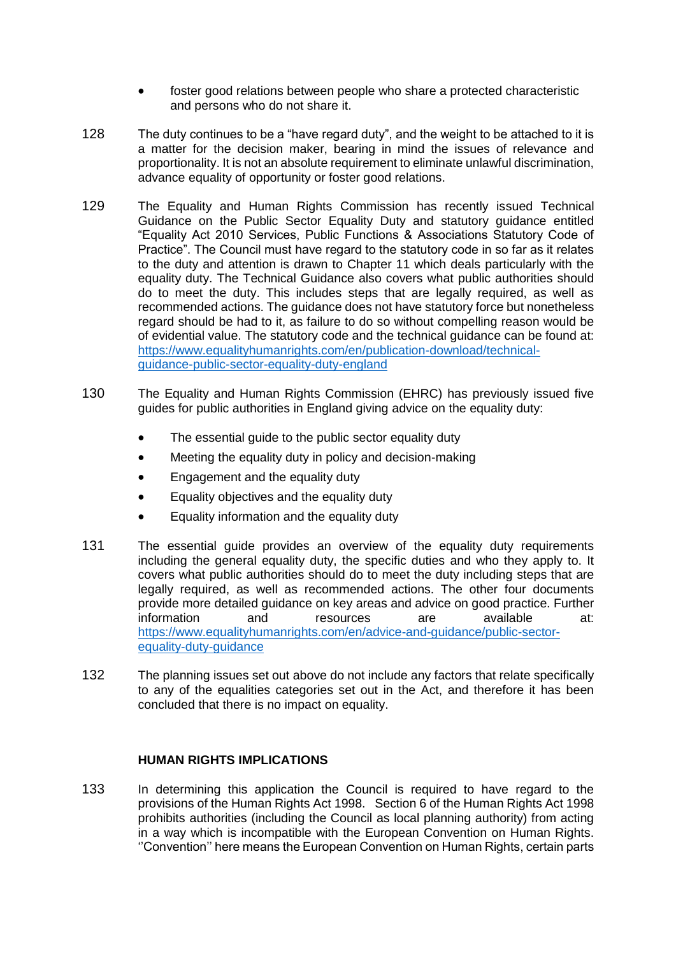- foster good relations between people who share a protected characteristic and persons who do not share it.
- 128 The duty continues to be a "have regard duty", and the weight to be attached to it is a matter for the decision maker, bearing in mind the issues of relevance and proportionality. It is not an absolute requirement to eliminate unlawful discrimination, advance equality of opportunity or foster good relations.
- 129 The Equality and Human Rights Commission has recently issued Technical Guidance on the Public Sector Equality Duty and statutory guidance entitled "Equality Act 2010 Services, Public Functions & Associations Statutory Code of Practice". The Council must have regard to the statutory code in so far as it relates to the duty and attention is drawn to Chapter 11 which deals particularly with the equality duty. The Technical Guidance also covers what public authorities should do to meet the duty. This includes steps that are legally required, as well as recommended actions. The guidance does not have statutory force but nonetheless regard should be had to it, as failure to do so without compelling reason would be of evidential value. The statutory code and the technical guidance can be found at: [https://www.equalityhumanrights.com/en/publication-download/technical](https://www.equalityhumanrights.com/en/publication-download/technical-guidance-public-sector-equality-duty-england)[guidance-public-sector-equality-duty-england](https://www.equalityhumanrights.com/en/publication-download/technical-guidance-public-sector-equality-duty-england)
- 130 The Equality and Human Rights Commission (EHRC) has previously issued five guides for public authorities in England giving advice on the equality duty:
	- The essential quide to the public sector equality duty
	- Meeting the equality duty in policy and decision-making
	- Engagement and the equality duty
	- Equality objectives and the equality duty
	- Equality information and the equality duty
- 131 The essential guide provides an overview of the equality duty requirements including the general equality duty, the specific duties and who they apply to. It covers what public authorities should do to meet the duty including steps that are legally required, as well as recommended actions. The other four documents provide more detailed guidance on key areas and advice on good practice. Further information and resources are available at: [https://www.equalityhumanrights.com/en/advice-and-guidance/public-sector](https://www.equalityhumanrights.com/en/advice-and-guidance/public-sector-equality-duty-guidance)[equality-duty-guidance](https://www.equalityhumanrights.com/en/advice-and-guidance/public-sector-equality-duty-guidance)
- 132 The planning issues set out above do not include any factors that relate specifically to any of the equalities categories set out in the Act, and therefore it has been concluded that there is no impact on equality.

# **HUMAN RIGHTS IMPLICATIONS**

133 In determining this application the Council is required to have regard to the provisions of the Human Rights Act 1998. Section 6 of the Human Rights Act 1998 prohibits authorities (including the Council as local planning authority) from acting in a way which is incompatible with the European Convention on Human Rights. ''Convention'' here means the European Convention on Human Rights, certain parts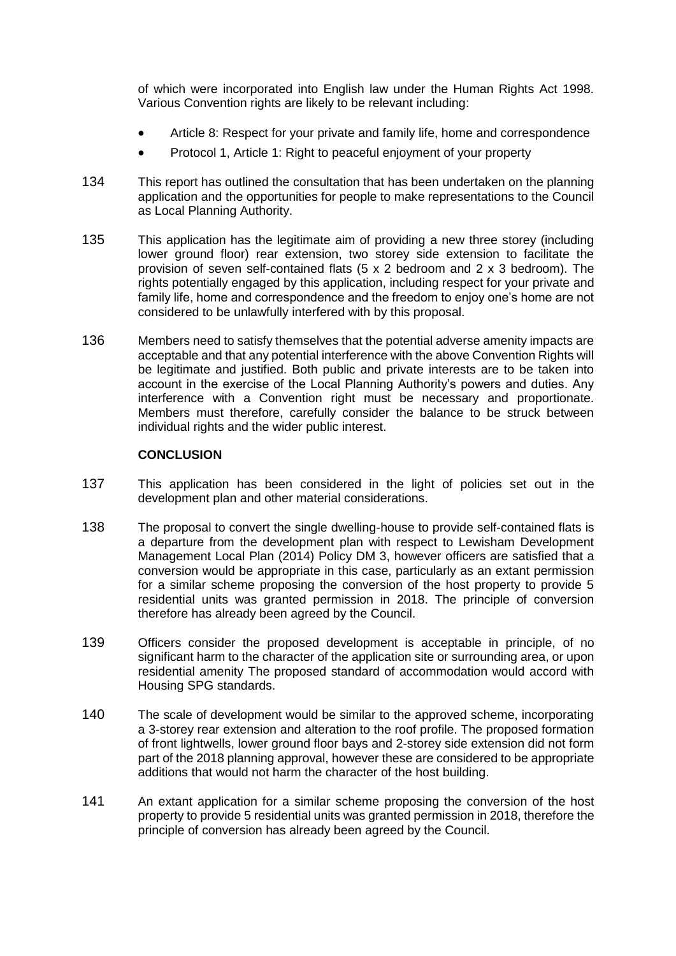of which were incorporated into English law under the Human Rights Act 1998. Various Convention rights are likely to be relevant including:

- Article 8: Respect for your private and family life, home and correspondence
- Protocol 1, Article 1: Right to peaceful enjoyment of your property
- 134 This report has outlined the consultation that has been undertaken on the planning application and the opportunities for people to make representations to the Council as Local Planning Authority.
- 135 This application has the legitimate aim of providing a new three storey (including lower ground floor) rear extension, two storey side extension to facilitate the provision of seven self-contained flats (5 x 2 bedroom and 2 x 3 bedroom). The rights potentially engaged by this application, including respect for your private and family life, home and correspondence and the freedom to enjoy one's home are not considered to be unlawfully interfered with by this proposal.
- 136 Members need to satisfy themselves that the potential adverse amenity impacts are acceptable and that any potential interference with the above Convention Rights will be legitimate and justified. Both public and private interests are to be taken into account in the exercise of the Local Planning Authority's powers and duties. Any interference with a Convention right must be necessary and proportionate. Members must therefore, carefully consider the balance to be struck between individual rights and the wider public interest.

# **CONCLUSION**

- 137 This application has been considered in the light of policies set out in the development plan and other material considerations.
- 138 The proposal to convert the single dwelling-house to provide self-contained flats is a departure from the development plan with respect to Lewisham Development Management Local Plan (2014) Policy DM 3, however officers are satisfied that a conversion would be appropriate in this case, particularly as an extant permission for a similar scheme proposing the conversion of the host property to provide 5 residential units was granted permission in 2018. The principle of conversion therefore has already been agreed by the Council.
- 139 Officers consider the proposed development is acceptable in principle, of no significant harm to the character of the application site or surrounding area, or upon residential amenity The proposed standard of accommodation would accord with Housing SPG standards.
- 140 The scale of development would be similar to the approved scheme, incorporating a 3-storey rear extension and alteration to the roof profile. The proposed formation of front lightwells, lower ground floor bays and 2-storey side extension did not form part of the 2018 planning approval, however these are considered to be appropriate additions that would not harm the character of the host building.
- 141 An extant application for a similar scheme proposing the conversion of the host property to provide 5 residential units was granted permission in 2018, therefore the principle of conversion has already been agreed by the Council.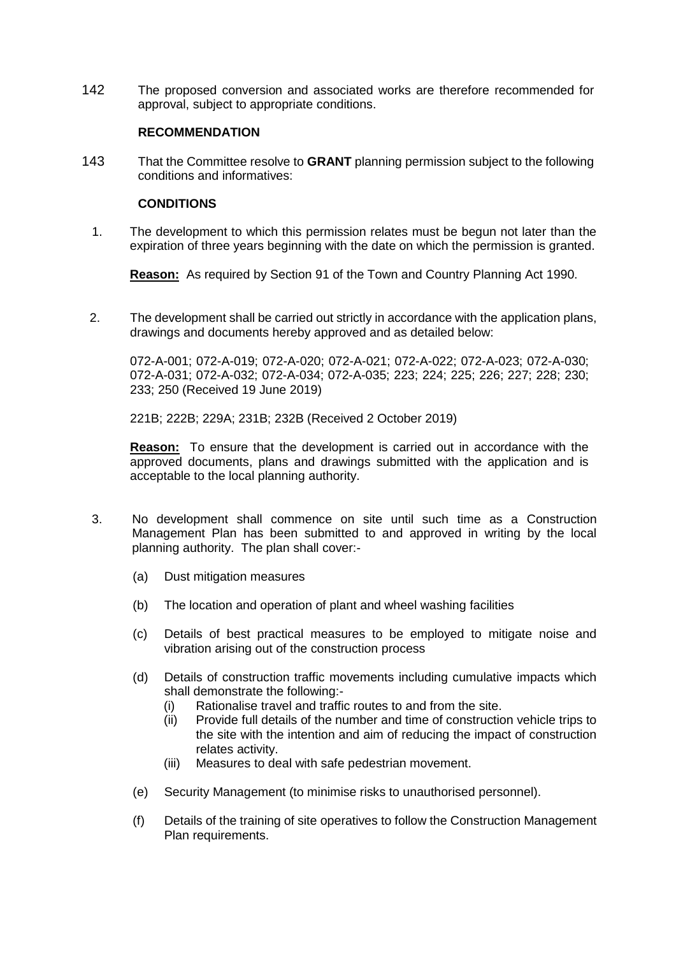142 The proposed conversion and associated works are therefore recommended for approval, subject to appropriate conditions.

# **RECOMMENDATION**

143 That the Committee resolve to **GRANT** planning permission subject to the following conditions and informatives:

### **CONDITIONS**

1. The development to which this permission relates must be begun not later than the expiration of three years beginning with the date on which the permission is granted.

**Reason:** As required by Section 91 of the Town and Country Planning Act 1990.

2. The development shall be carried out strictly in accordance with the application plans, drawings and documents hereby approved and as detailed below:

072-A-001; 072-A-019; 072-A-020; 072-A-021; 072-A-022; 072-A-023; 072-A-030; 072-A-031; 072-A-032; 072-A-034; 072-A-035; 223; 224; 225; 226; 227; 228; 230; 233; 250 (Received 19 June 2019)

221B; 222B; 229A; 231B; 232B (Received 2 October 2019)

**Reason:** To ensure that the development is carried out in accordance with the approved documents, plans and drawings submitted with the application and is acceptable to the local planning authority.

- 3. No development shall commence on site until such time as a Construction Management Plan has been submitted to and approved in writing by the local planning authority. The plan shall cover:-
	- (a) Dust mitigation measures
	- (b) The location and operation of plant and wheel washing facilities
	- (c) Details of best practical measures to be employed to mitigate noise and vibration arising out of the construction process
	- (d) Details of construction traffic movements including cumulative impacts which shall demonstrate the following:-
		- (i) Rationalise travel and traffic routes to and from the site.
		- (ii) Provide full details of the number and time of construction vehicle trips to the site with the intention and aim of reducing the impact of construction relates activity.
		- (iii) Measures to deal with safe pedestrian movement.
	- (e) Security Management (to minimise risks to unauthorised personnel).
	- (f) Details of the training of site operatives to follow the Construction Management Plan requirements.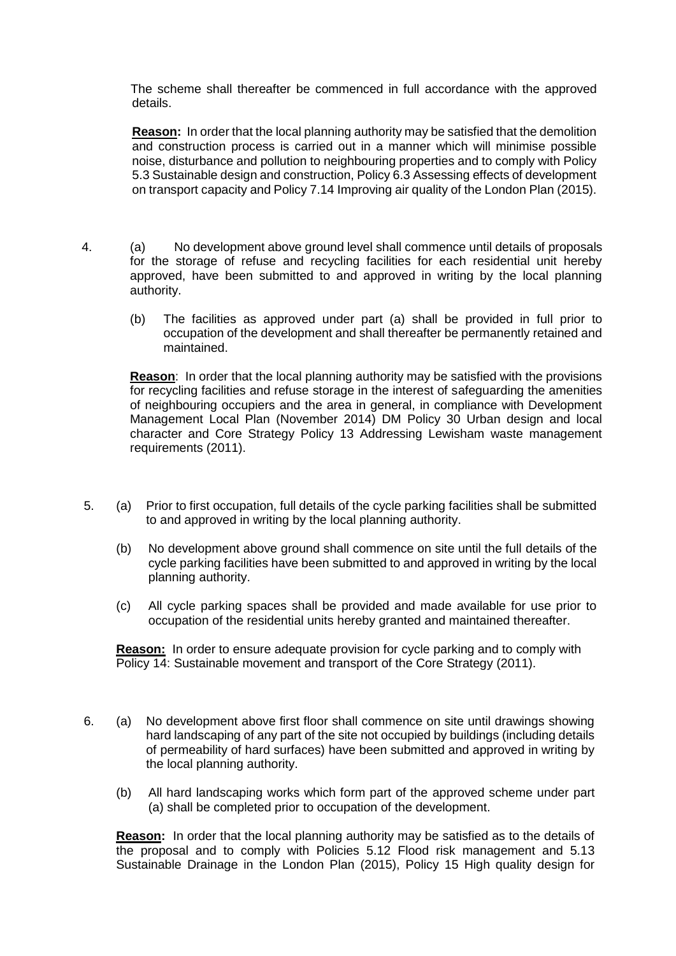The scheme shall thereafter be commenced in full accordance with the approved details.

**Reason:** In order that the local planning authority may be satisfied that the demolition and construction process is carried out in a manner which will minimise possible noise, disturbance and pollution to neighbouring properties and to comply with Policy 5.3 Sustainable design and construction, Policy 6.3 Assessing effects of development on transport capacity and Policy 7.14 Improving air quality of the London Plan (2015).

- 4. (a) No development above ground level shall commence until details of proposals for the storage of refuse and recycling facilities for each residential unit hereby approved, have been submitted to and approved in writing by the local planning authority.
	- (b) The facilities as approved under part (a) shall be provided in full prior to occupation of the development and shall thereafter be permanently retained and maintained.

**Reason**: In order that the local planning authority may be satisfied with the provisions for recycling facilities and refuse storage in the interest of safeguarding the amenities of neighbouring occupiers and the area in general, in compliance with Development Management Local Plan (November 2014) DM Policy 30 Urban design and local character and Core Strategy Policy 13 Addressing Lewisham waste management requirements (2011).

- 5. (a) Prior to first occupation, full details of the cycle parking facilities shall be submitted to and approved in writing by the local planning authority.
	- (b) No development above ground shall commence on site until the full details of the cycle parking facilities have been submitted to and approved in writing by the local planning authority.
	- (c) All cycle parking spaces shall be provided and made available for use prior to occupation of the residential units hereby granted and maintained thereafter.

**Reason:** In order to ensure adequate provision for cycle parking and to comply with Policy 14: Sustainable movement and transport of the Core Strategy (2011).

- 6. (a) No development above first floor shall commence on site until drawings showing hard landscaping of any part of the site not occupied by buildings (including details of permeability of hard surfaces) have been submitted and approved in writing by the local planning authority.
	- (b) All hard landscaping works which form part of the approved scheme under part (a) shall be completed prior to occupation of the development.

**Reason:** In order that the local planning authority may be satisfied as to the details of the proposal and to comply with Policies 5.12 Flood risk management and 5.13 Sustainable Drainage in the London Plan (2015), Policy 15 High quality design for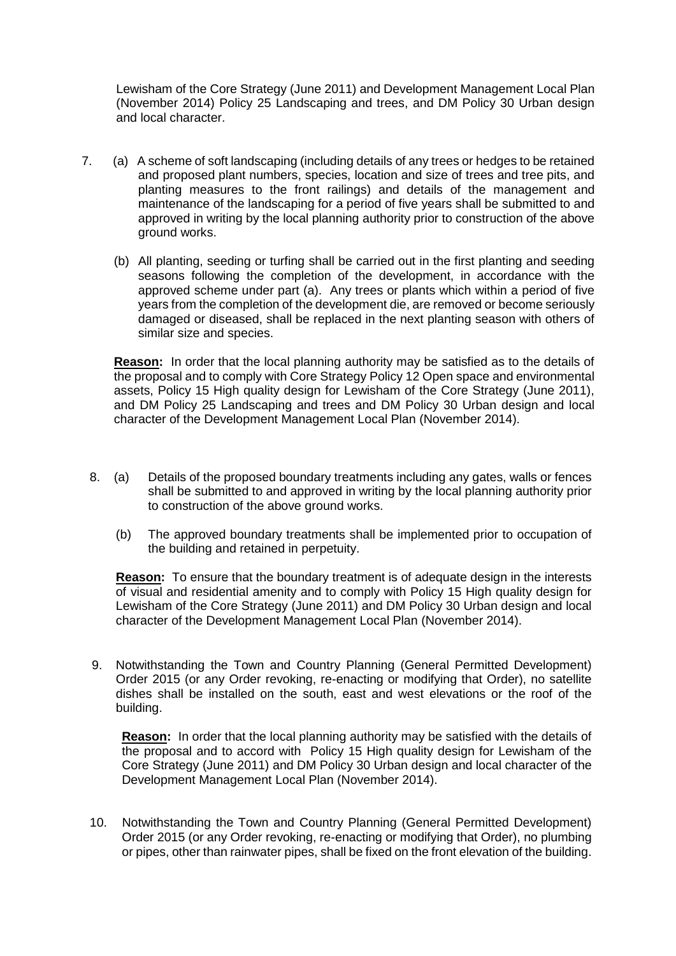Lewisham of the Core Strategy (June 2011) and Development Management Local Plan (November 2014) Policy 25 Landscaping and trees, and DM Policy 30 Urban design and local character.

- 7. (a) A scheme of soft landscaping (including details of any trees or hedges to be retained and proposed plant numbers, species, location and size of trees and tree pits, and planting measures to the front railings) and details of the management and maintenance of the landscaping for a period of five years shall be submitted to and approved in writing by the local planning authority prior to construction of the above ground works.
	- (b) All planting, seeding or turfing shall be carried out in the first planting and seeding seasons following the completion of the development, in accordance with the approved scheme under part (a). Any trees or plants which within a period of five years from the completion of the development die, are removed or become seriously damaged or diseased, shall be replaced in the next planting season with others of similar size and species.

**Reason:** In order that the local planning authority may be satisfied as to the details of the proposal and to comply with Core Strategy Policy 12 Open space and environmental assets, Policy 15 High quality design for Lewisham of the Core Strategy (June 2011), and DM Policy 25 Landscaping and trees and DM Policy 30 Urban design and local character of the Development Management Local Plan (November 2014).

- 8. (a) Details of the proposed boundary treatments including any gates, walls or fences shall be submitted to and approved in writing by the local planning authority prior to construction of the above ground works.
	- (b) The approved boundary treatments shall be implemented prior to occupation of the building and retained in perpetuity.

**Reason:** To ensure that the boundary treatment is of adequate design in the interests of visual and residential amenity and to comply with Policy 15 High quality design for Lewisham of the Core Strategy (June 2011) and DM Policy 30 Urban design and local character of the Development Management Local Plan (November 2014).

9. Notwithstanding the Town and Country Planning (General Permitted Development) Order 2015 (or any Order revoking, re-enacting or modifying that Order), no satellite dishes shall be installed on the south, east and west elevations or the roof of the building.

**Reason:** In order that the local planning authority may be satisfied with the details of the proposal and to accord with Policy 15 High quality design for Lewisham of the Core Strategy (June 2011) and DM Policy 30 Urban design and local character of the Development Management Local Plan (November 2014).

10. Notwithstanding the Town and Country Planning (General Permitted Development) Order 2015 (or any Order revoking, re-enacting or modifying that Order), no plumbing or pipes, other than rainwater pipes, shall be fixed on the front elevation of the building.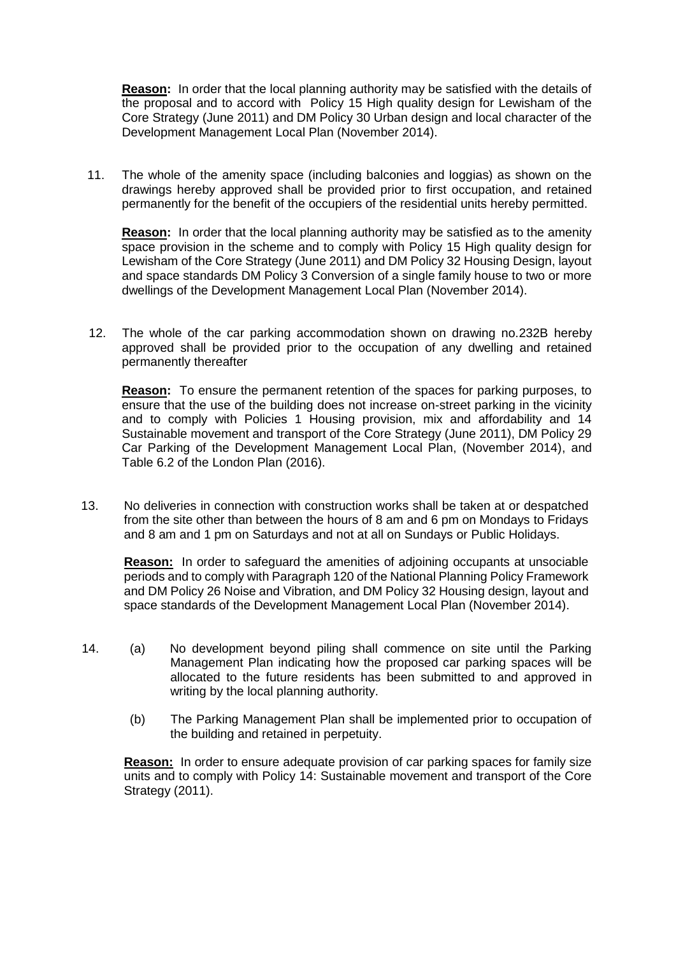**Reason:** In order that the local planning authority may be satisfied with the details of the proposal and to accord with Policy 15 High quality design for Lewisham of the Core Strategy (June 2011) and DM Policy 30 Urban design and local character of the Development Management Local Plan (November 2014).

11. The whole of the amenity space (including balconies and loggias) as shown on the drawings hereby approved shall be provided prior to first occupation, and retained permanently for the benefit of the occupiers of the residential units hereby permitted.

**Reason:** In order that the local planning authority may be satisfied as to the amenity space provision in the scheme and to comply with Policy 15 High quality design for Lewisham of the Core Strategy (June 2011) and DM Policy 32 Housing Design, layout and space standards DM Policy 3 Conversion of a single family house to two or more dwellings of the Development Management Local Plan (November 2014).

 12. The whole of the car parking accommodation shown on drawing no.232B hereby approved shall be provided prior to the occupation of any dwelling and retained permanently thereafter

**Reason:** To ensure the permanent retention of the spaces for parking purposes, to ensure that the use of the building does not increase on-street parking in the vicinity and to comply with Policies 1 Housing provision, mix and affordability and 14 Sustainable movement and transport of the Core Strategy (June 2011), DM Policy 29 Car Parking of the Development Management Local Plan, (November 2014), and Table 6.2 of the London Plan (2016).

13. No deliveries in connection with construction works shall be taken at or despatched from the site other than between the hours of 8 am and 6 pm on Mondays to Fridays and 8 am and 1 pm on Saturdays and not at all on Sundays or Public Holidays.

**Reason:** In order to safeguard the amenities of adjoining occupants at unsociable periods and to comply with Paragraph 120 of the National Planning Policy Framework and DM Policy 26 Noise and Vibration, and DM Policy 32 Housing design, layout and space standards of the Development Management Local Plan (November 2014).

- 14. (a) No development beyond piling shall commence on site until the Parking Management Plan indicating how the proposed car parking spaces will be allocated to the future residents has been submitted to and approved in writing by the local planning authority.
	- (b) The Parking Management Plan shall be implemented prior to occupation of the building and retained in perpetuity.

**Reason:** In order to ensure adequate provision of car parking spaces for family size units and to comply with Policy 14: Sustainable movement and transport of the Core Strategy (2011).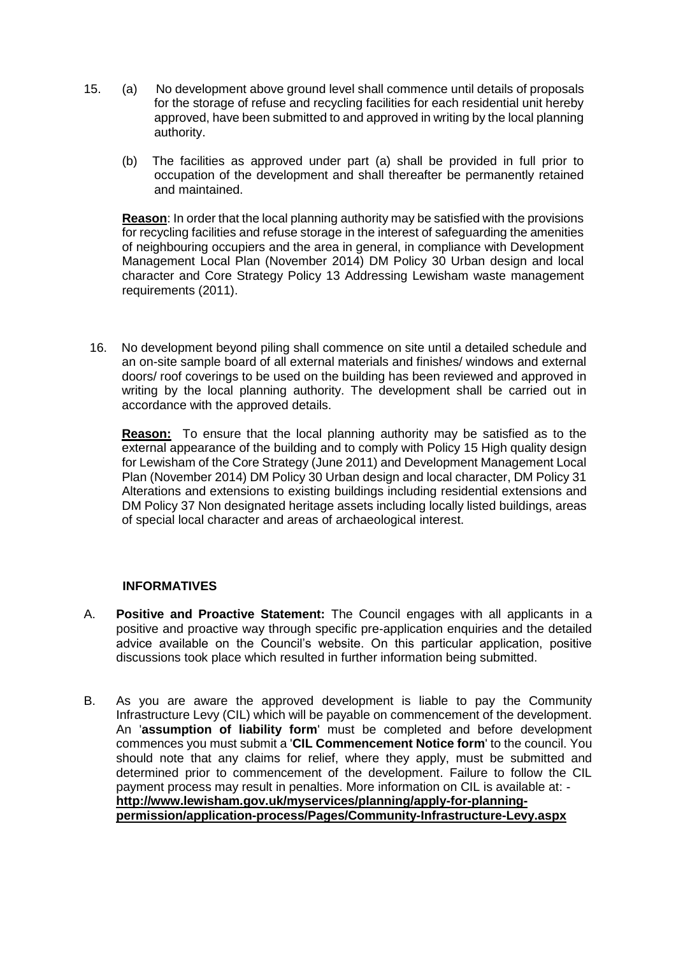- 15. (a) No development above ground level shall commence until details of proposals for the storage of refuse and recycling facilities for each residential unit hereby approved, have been submitted to and approved in writing by the local planning authority.
	- (b) The facilities as approved under part (a) shall be provided in full prior to occupation of the development and shall thereafter be permanently retained and maintained.

**Reason**: In order that the local planning authority may be satisfied with the provisions for recycling facilities and refuse storage in the interest of safeguarding the amenities of neighbouring occupiers and the area in general, in compliance with Development Management Local Plan (November 2014) DM Policy 30 Urban design and local character and Core Strategy Policy 13 Addressing Lewisham waste management requirements (2011).

16. No development beyond piling shall commence on site until a detailed schedule and an on-site sample board of all external materials and finishes/ windows and external doors/ roof coverings to be used on the building has been reviewed and approved in writing by the local planning authority. The development shall be carried out in accordance with the approved details.

**Reason:** To ensure that the local planning authority may be satisfied as to the external appearance of the building and to comply with Policy 15 High quality design for Lewisham of the Core Strategy (June 2011) and Development Management Local Plan (November 2014) DM Policy 30 Urban design and local character, DM Policy 31 Alterations and extensions to existing buildings including residential extensions and DM Policy 37 Non designated heritage assets including locally listed buildings, areas of special local character and areas of archaeological interest.

# **INFORMATIVES**

- A. **Positive and Proactive Statement:** The Council engages with all applicants in a positive and proactive way through specific pre-application enquiries and the detailed advice available on the Council's website. On this particular application, positive discussions took place which resulted in further information being submitted.
- B. As you are aware the approved development is liable to pay the Community Infrastructure Levy (CIL) which will be payable on commencement of the development. An '**assumption of liability form**' must be completed and before development commences you must submit a '**CIL Commencement Notice form**' to the council. You should note that any claims for relief, where they apply, must be submitted and determined prior to commencement of the development. Failure to follow the CIL payment process may result in penalties. More information on CIL is available at: **http://www.lewisham.gov.uk/myservices/planning/apply-for-planningpermission/application-process/Pages/Community-Infrastructure-Levy.aspx**